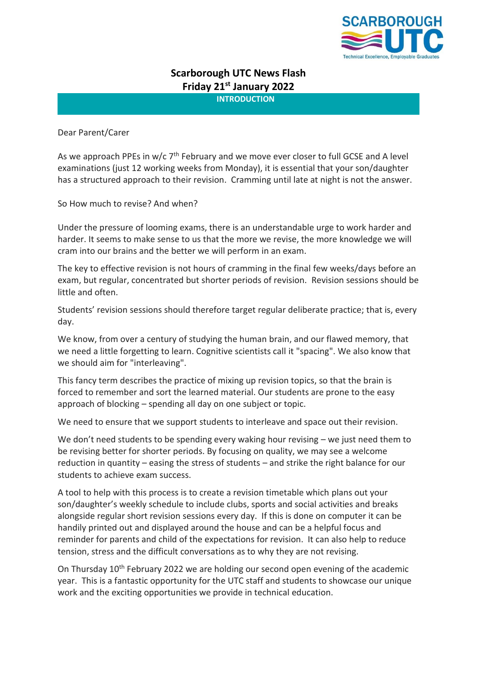

# **Scarborough UTC News Flash Friday 21st January 2022**

**INTRODUCTION**

Dear Parent/Carer

As we approach PPEs in w/c  $7<sup>th</sup>$  February and we move ever closer to full GCSE and A level examinations (just 12 working weeks from Monday), it is essential that your son/daughter has a structured approach to their revision. Cramming until late at night is not the answer.

So How much to revise? And when?

Under the pressure of looming exams, there is an understandable urge to work harder and harder. It seems to make sense to us that the more we revise, the more knowledge we will cram into our brains and the better we will perform in an exam.

The key to effective revision is not hours of cramming in the final few weeks/days before an exam, but regular, concentrated but shorter periods of revision. Revision sessions should be little and often.

Students' revision sessions should therefore target regular deliberate practice; that is, every day.

We know, from over a century of studying the human brain, and our flawed memory, that we need a little forgetting to learn. Cognitive scientists call it "spacing". We also know that we should aim for "interleaving".

This fancy term describes the practice of mixing up revision topics, so that the brain is forced to remember and sort the learned material. Our students are prone to the easy approach of blocking – spending all day on one subject or topic.

We need to ensure that we support students to interleave and space out their revision.

We don't need students to be spending every waking hour revising – we just need them to be revising better for shorter periods. By focusing on quality, we may see a welcome reduction in quantity – easing the stress of students – and strike the right balance for our students to achieve exam success.

A tool to help with this process is to create a revision timetable which plans out your son/daughter's weekly schedule to include clubs, sports and social activities and breaks alongside regular short revision sessions every day. If this is done on computer it can be handily printed out and displayed around the house and can be a helpful focus and reminder for parents and child of the expectations for revision. It can also help to reduce tension, stress and the difficult conversations as to why they are not revising.

On Thursday 10<sup>th</sup> February 2022 we are holding our second open evening of the academic year. This is a fantastic opportunity for the UTC staff and students to showcase our unique work and the exciting opportunities we provide in technical education.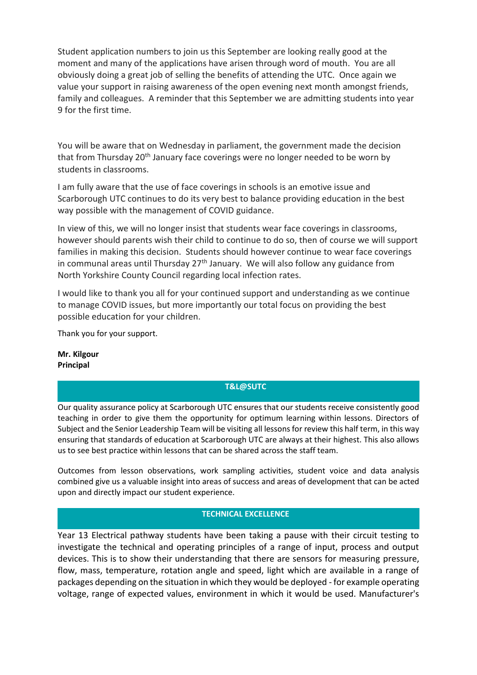Student application numbers to join us this September are looking really good at the moment and many of the applications have arisen through word of mouth. You are all obviously doing a great job of selling the benefits of attending the UTC. Once again we value your support in raising awareness of the open evening next month amongst friends, family and colleagues. A reminder that this September we are admitting students into year 9 for the first time.

You will be aware that on Wednesday in parliament, the government made the decision that from Thursday 20<sup>th</sup> January face coverings were no longer needed to be worn by students in classrooms.

I am fully aware that the use of face coverings in schools is an emotive issue and Scarborough UTC continues to do its very best to balance providing education in the best way possible with the management of COVID guidance.

In view of this, we will no longer insist that students wear face coverings in classrooms, however should parents wish their child to continue to do so, then of course we will support families in making this decision. Students should however continue to wear face coverings in communal areas until Thursday  $27<sup>th</sup>$  January. We will also follow any guidance from North Yorkshire County Council regarding local infection rates.

I would like to thank you all for your continued support and understanding as we continue to manage COVID issues, but more importantly our total focus on providing the best possible education for your children.

Thank you for your support.

**Mr. Kilgour Principal**

### **T&L@SUTC**

Our quality assurance policy at Scarborough UTC ensures that our students receive consistently good teaching in order to give them the opportunity for optimum learning within lessons. Directors of Subject and the Senior Leadership Team will be visiting all lessons for review this half term, in this way ensuring that standards of education at Scarborough UTC are always at their highest. This also allows us to see best practice within lessons that can be shared across the staff team.

Outcomes from lesson observations, work sampling activities, student voice and data analysis combined give us a valuable insight into areas of success and areas of development that can be acted upon and directly impact our student experience.

# **TECHNICAL EXCELLENCE**

Year 13 Electrical pathway students have been taking a pause with their circuit testing to investigate the technical and operating principles of a range of input, process and output devices. This is to show their understanding that there are sensors for measuring pressure, flow, mass, temperature, rotation angle and speed, light which are available in a range of packages depending on the situation in which they would be deployed - for example operating voltage, range of expected values, environment in which it would be used. Manufacturer's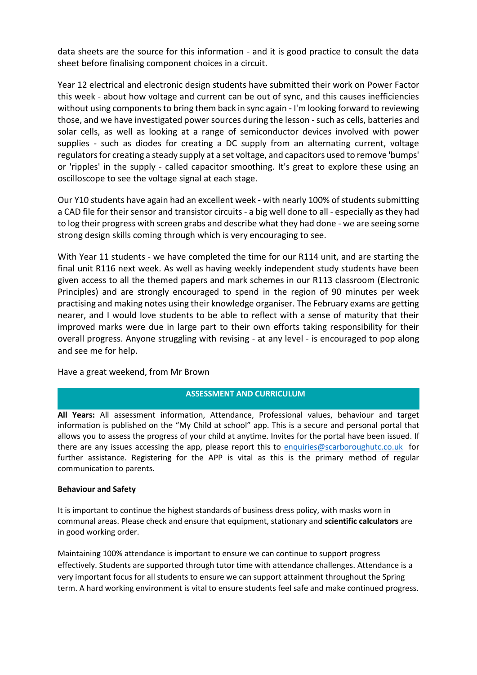data sheets are the source for this information - and it is good practice to consult the data sheet before finalising component choices in a circuit.

Year 12 electrical and electronic design students have submitted their work on Power Factor this week - about how voltage and current can be out of sync, and this causes inefficiencies without using components to bring them back in sync again - I'm looking forward to reviewing those, and we have investigated power sources during the lesson -such as cells, batteries and solar cells, as well as looking at a range of semiconductor devices involved with power supplies - such as diodes for creating a DC supply from an alternating current, voltage regulators for creating a steady supply at a set voltage, and capacitors used to remove 'bumps' or 'ripples' in the supply - called capacitor smoothing. It's great to explore these using an oscilloscope to see the voltage signal at each stage.

Our Y10 students have again had an excellent week - with nearly 100% of students submitting a CAD file for their sensor and transistor circuits - a big well done to all - especially as they had to log their progress with screen grabs and describe what they had done - we are seeing some strong design skills coming through which is very encouraging to see.

With Year 11 students - we have completed the time for our R114 unit, and are starting the final unit R116 next week. As well as having weekly independent study students have been given access to all the themed papers and mark schemes in our R113 classroom (Electronic Principles) and are strongly encouraged to spend in the region of 90 minutes per week practising and making notes using their knowledge organiser. The February exams are getting nearer, and I would love students to be able to reflect with a sense of maturity that their improved marks were due in large part to their own efforts taking responsibility for their overall progress. Anyone struggling with revising - at any level - is encouraged to pop along and see me for help.

Have a great weekend, from Mr Brown

# **ASSESSMENT AND CURRICULUM**

**All Years:** All assessment information, Attendance, Professional values, behaviour and target information is published on the "My Child at school" app. This is a secure and personal portal that allows you to assess the progress of your child at anytime. Invites for the portal have been issued. If there are any issues accessing the app, please report this to [enquiries@scarboroughutc.co.uk](mailto:enquiries@scarboroughutc.co.uk) for further assistance. Registering for the APP is vital as this is the primary method of regular communication to parents.

### **Behaviour and Safety**

It is important to continue the highest standards of business dress policy, with masks worn in communal areas. Please check and ensure that equipment, stationary and **scientific calculators** are in good working order.

Maintaining 100% attendance is important to ensure we can continue to support progress effectively. Students are supported through tutor time with attendance challenges. Attendance is a very important focus for all students to ensure we can support attainment throughout the Spring term. A hard working environment is vital to ensure students feel safe and make continued progress.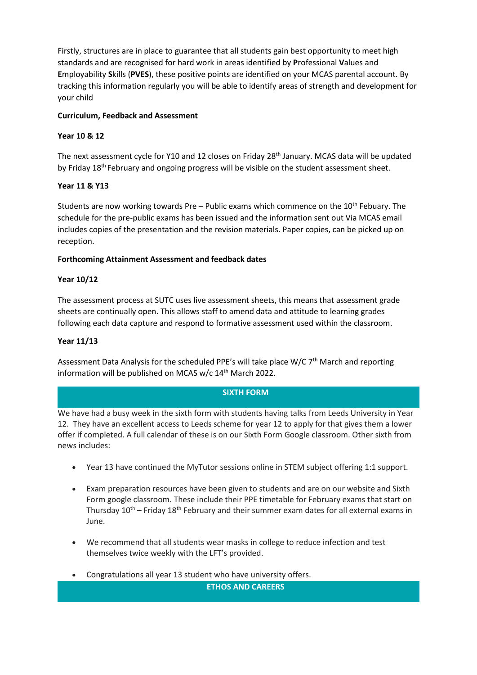Firstly, structures are in place to guarantee that all students gain best opportunity to meet high standards and are recognised for hard work in areas identified by **P**rofessional **V**alues and **E**mployability **S**kills (**PVES**), these positive points are identified on your MCAS parental account. By tracking this information regularly you will be able to identify areas of strength and development for your child

# **Curriculum, Feedback and Assessment**

# **Year 10 & 12**

The next assessment cycle for Y10 and 12 closes on Friday 28<sup>th</sup> January. MCAS data will be updated by Friday 18<sup>th</sup> February and ongoing progress will be visible on the student assessment sheet.

# **Year 11 & Y13**

Students are now working towards Pre – Public exams which commence on the  $10<sup>th</sup>$  Febuary. The schedule for the pre-public exams has been issued and the information sent out Via MCAS email includes copies of the presentation and the revision materials. Paper copies, can be picked up on reception.

## **Forthcoming Attainment Assessment and feedback dates**

## **Year 10/12**

The assessment process at SUTC uses live assessment sheets, this means that assessment grade sheets are continually open. This allows staff to amend data and attitude to learning grades following each data capture and respond to formative assessment used within the classroom.

## **Year 11/13**

Assessment Data Analysis for the scheduled PPE's will take place W/C  $7<sup>th</sup>$  March and reporting information will be published on MCAS w/c 14<sup>th</sup> March 2022.

### **SIXTH FORM**

We have had a busy week in the sixth form with students having talks from Leeds University in Year 12. They have an excellent access to Leeds scheme for year 12 to apply for that gives them a lower offer if completed. A full calendar of these is on our Sixth Form Google classroom. Other sixth from news includes:

- Year 13 have continued the MyTutor sessions online in STEM subject offering 1:1 support.
- Exam preparation resources have been given to students and are on our website and Sixth Form google classroom. These include their PPE timetable for February exams that start on Thursday  $10^{th}$  – Friday  $18^{th}$  February and their summer exam dates for all external exams in June.
- We recommend that all students wear masks in college to reduce infection and test themselves twice weekly with the LFT's provided.
- Congratulations all year 13 student who have university offers.

**ETHOS AND CAREERS**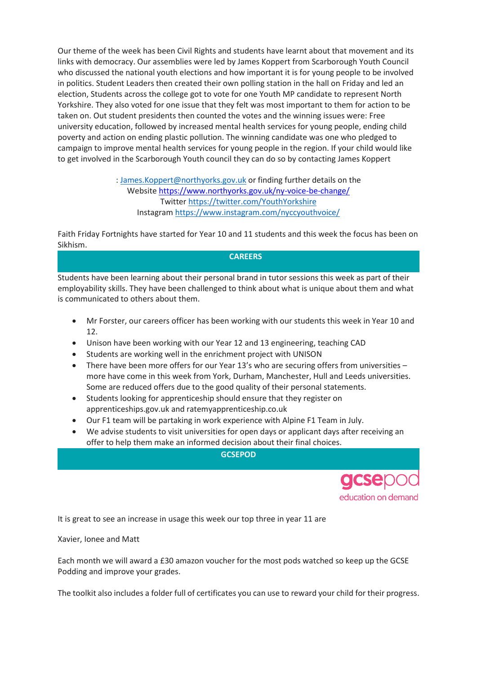Our theme of the week has been Civil Rights and students have learnt about that movement and its links with democracy. Our assemblies were led by James Koppert from Scarborough Youth Council who discussed the national youth elections and how important it is for young people to be involved in politics. Student Leaders then created their own polling station in the hall on Friday and led an election, Students across the college got to vote for one Youth MP candidate to represent North Yorkshire. They also voted for one issue that they felt was most important to them for action to be taken on. Out student presidents then counted the votes and the winning issues were: Free university education, followed by increased mental health services for young people, ending child poverty and action on ending plastic pollution. The winning candidate was one who pledged to campaign to improve mental health services for young people in the region. If your child would like to get involved in the Scarborough Youth council they can do so by contacting James Koppert

> : [James.Koppert@northyorks.gov.uk](mailto:James.Koppert@northyorks.gov.uk) or finding further details on the Website <https://www.northyorks.gov.uk/ny-voice-be-change/> Twitter <https://twitter.com/YouthYorkshire> Instagram <https://www.instagram.com/nyccyouthvoice/>

Faith Friday Fortnights have started for Year 10 and 11 students and this week the focus has been on Sikhism.

## **CAREERS**

Students have been learning about their personal brand in tutor sessions this week as part of their employability skills. They have been challenged to think about what is unique about them and what is communicated to others about them.

- Mr Forster, our careers officer has been working with our students this week in Year 10 and 12.
- Unison have been working with our Year 12 and 13 engineering, teaching CAD
- Students are working well in the enrichment project with UNISON
- There have been more offers for our Year 13's who are securing offers from universities more have come in this week from York, Durham, Manchester, Hull and Leeds universities. Some are reduced offers due to the good quality of their personal statements.
- Students looking for apprenticeship should ensure that they register on apprenticeships.gov.uk and ratemyapprenticeship.co.uk
- Our F1 team will be partaking in work experience with Alpine F1 Team in July.
- We advise students to visit universities for open days or applicant days after receiving an offer to help them make an informed decision about their final choices.

**GCSEPOD**



It is great to see an increase in usage this week our top three in year 11 are

Xavier, Ionee and Matt

Each month we will award a £30 amazon voucher for the most pods watched so keep up the GCSE Podding and improve your grades.

The toolkit also includes a folder full of certificates you can use to reward your child for their progress.